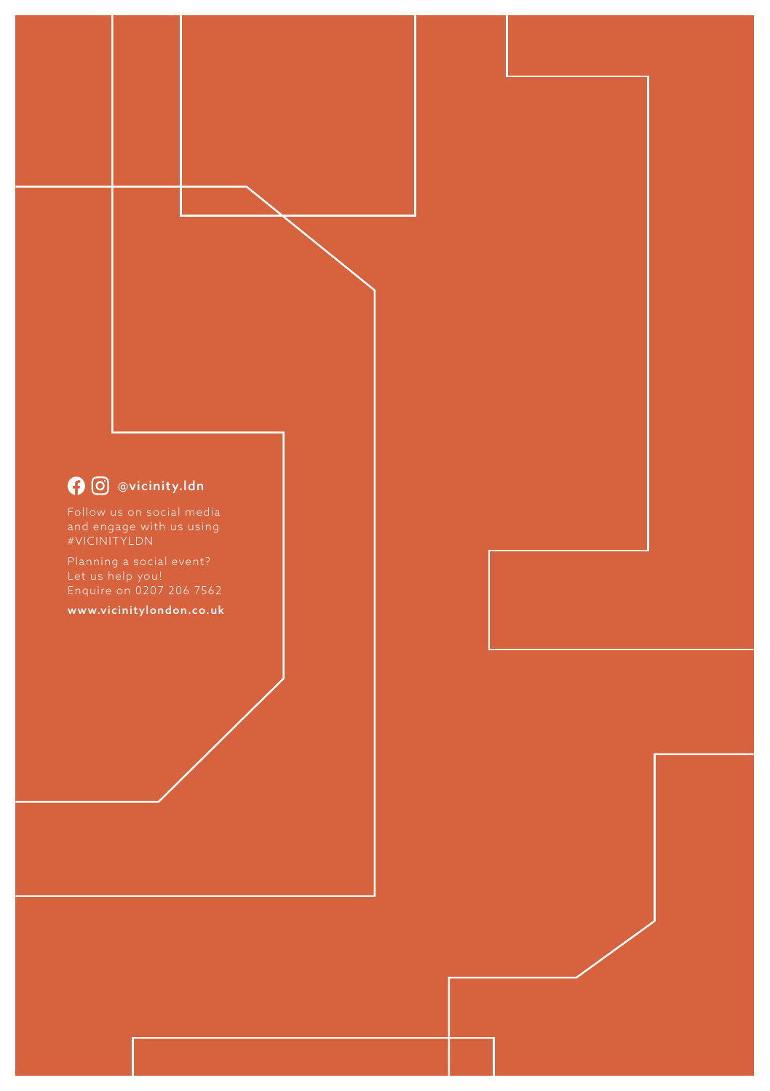# **O** @vicinity.ldn

Follow us on social media #VICINITYLDN

www.vicinitylondon.co.uk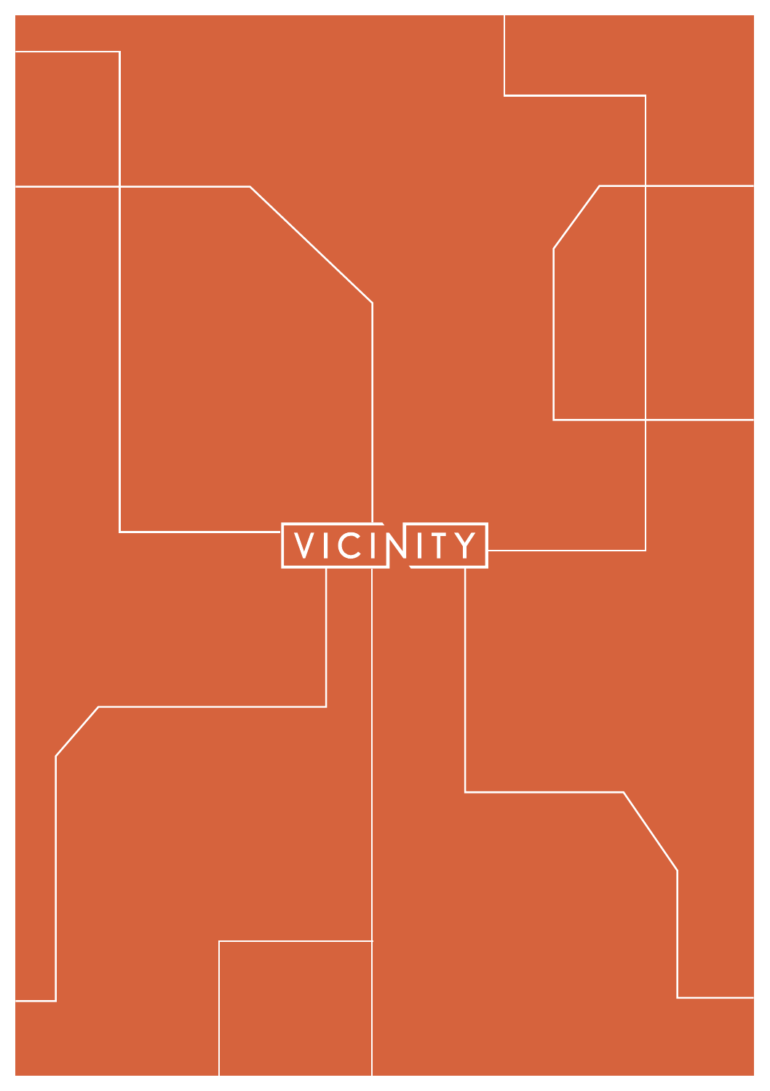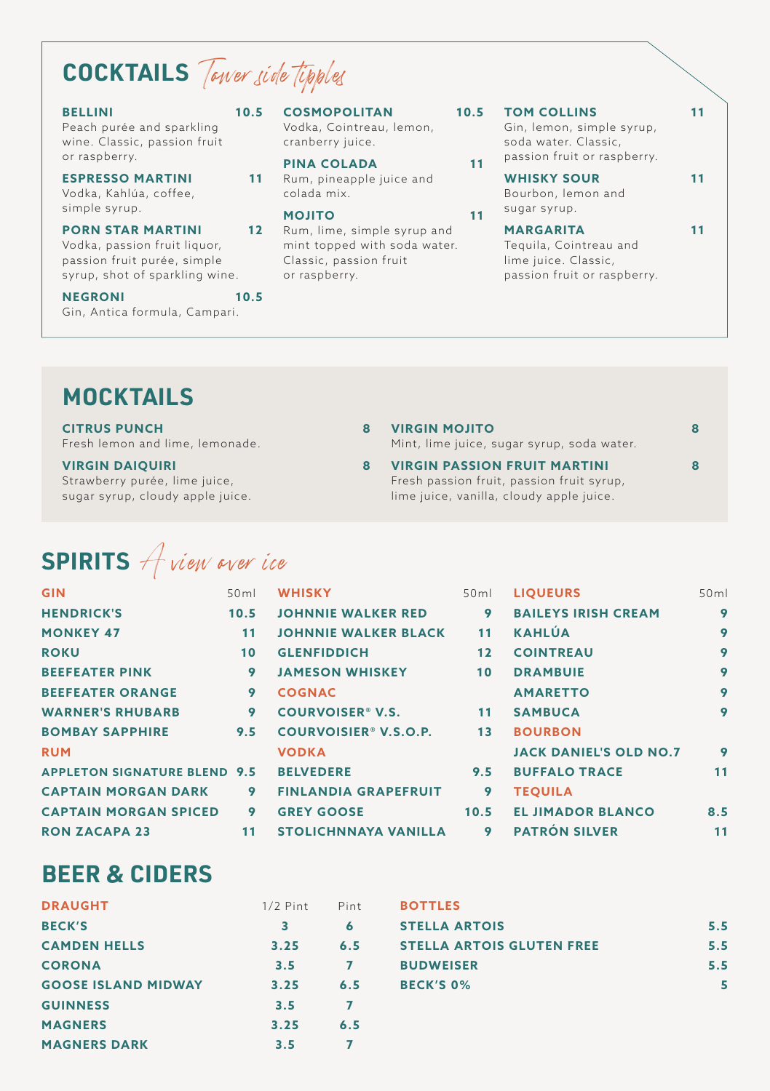# **COCKTAILS** Tower side tipples

### **BELLINI 10.5**

Peach purée and sparkling wine. Classic, passion fruit or raspberry.

**ESPRESSO MARTINI 11** Vodka, Kahlúa, coffee, simple syrup.

### **PORN STAR MARTINI** Vodka, passion fruit liquor,

passion fruit purée, simple syrup, shot of sparkling wine.

**NEGRONI** 10.5 Gin, Antica formula, Campari.

## **COSMOPOLITAN**

Vodka, Cointreau, lemon, cranberry juice.

## **PINA COLADA 11**

11 Rum, pineapple juice and colada mix.

## **MOJITO 11**

12 Rum, lime, simple syrup and mint topped with soda water. Classic, passion fruit or raspberry.

### **TOM COLLINS 11**

Gin, lemon, simple syrup, soda water. Classic, passion fruit or raspberry.

## WHISKY SOUR 11

Bourbon, lemon and sugar syrup.

### **MARGARITA 11**

**VIRGIN MOJITO 8** Mint, lime juice, sugar syrup, soda water.

**VIRGIN PASSION FRUIT MARTINI 8**

Fresh passion fruit, passion fruit syrup, lime juice, vanilla, cloudy apple juice.

Tequila, Cointreau and lime juice. Classic, passion fruit or raspberry.

# **MOCKTAILS**

**CITRUS PUNCH 8** Fresh lemon and lime, lemonade.

**VIRGIN DAIQUIRI 8** Strawberry purée, lime juice, sugar syrup, cloudy apple juice.

# **SPIRITS** A view over ice

| <b>GIN</b>                          | 50 <sub>ml</sub> | <b>WHISKY</b>                     | 50 <sub>ml</sub> | Ш           |
|-------------------------------------|------------------|-----------------------------------|------------------|-------------|
| <b>HENDRICK'S</b>                   | 10.5             | <b>JOHNNIE WALKER RED</b>         | 9                | в           |
| <b>MONKEY 47</b>                    | 11               | <b>JOHNNIE WALKER BLACK</b>       | 11               | к           |
| <b>ROKU</b>                         | 10               | <b>GLENFIDDICH</b>                | 12               | c           |
| <b>BEEFEATER PINK</b>               | 9                | <b>JAMESON WHISKEY</b>            | 10               | D           |
| <b>BEEFEATER ORANGE</b>             | 9                | <b>COGNAC</b>                     |                  | A           |
| <b>WARNER'S RHUBARB</b>             | 9                | <b>COURVOISER® V.S.</b>           | 11               | S.          |
| <b>BOMBAY SAPPHIRE</b>              | 9.5              | COURVOISIER <sup>®</sup> V.S.O.P. | 13               | в           |
| <b>RUM</b>                          |                  | <b>VODKA</b>                      |                  | IJ          |
| <b>APPLETON SIGNATURE BLEND 9.5</b> |                  | <b>BELVEDERE</b>                  | 9.5              | в           |
| <b>CAPTAIN MORGAN DARK</b>          | 9                | <b>FINLANDIA GRAPEFRUIT</b>       | 9                | $\mathbf T$ |
| <b>CAPTAIN MORGAN SPICED</b>        | 9                | <b>GREY GOOSE</b>                 | 10.5             | Е           |
| <b>RON ZACAPA 23</b>                | 11               | <b>STOLICHNNAYA VANILLA</b>       | 9                | P.          |

| ٦İ             | <b>LIQUEURS</b>               | 50ml |
|----------------|-------------------------------|------|
| 9              | <b>BAILEYS IRISH CREAM</b>    | 9    |
| 1              | KAHLÚA                        | 9    |
| $\overline{2}$ | <b>COINTREAU</b>              | 9    |
| $\overline{0}$ | <b>DRAMBUIE</b>               | 9    |
|                | <b>AMARETTO</b>               | 9    |
| 1              | <b>SAMBUCA</b>                | 9    |
| 3              | <b>BOURBON</b>                |      |
|                | <b>JACK DANIEL'S OLD NO.7</b> | 9    |
| 5              | <b>BUFFALO TRACE</b>          | 11   |
| 9              | <b>TEOUILA</b>                |      |
| 5              | <b>EL JIMADOR BLANCO</b>      | 8.5  |
| 9              | <b>PATRÓN SILVER</b>          | 11   |

# **BEER & CIDERS**

| <b>DRAUGHT</b>             | $1/2$ Pint | Pint | <b>BOTTLES</b>                   |     |
|----------------------------|------------|------|----------------------------------|-----|
| <b>BECK'S</b>              | 3          | 6    | <b>STELLA ARTOIS</b>             | 5.5 |
| <b>CAMDEN HELLS</b>        | 3.25       | 6.5  | <b>STELLA ARTOIS GLUTEN FREE</b> | 5.5 |
| <b>CORONA</b>              | 3.5        | 7    | <b>BUDWEISER</b>                 | 5.5 |
| <b>GOOSE ISLAND MIDWAY</b> | 3.25       | 6.5  | <b>BECK'S 0%</b>                 |     |
| <b>GUINNESS</b>            | 3.5        |      |                                  |     |
| <b>MAGNERS</b>             | 3.25       | 6.5  |                                  |     |
| <b>MAGNERS DARK</b>        | 3.5        |      |                                  |     |